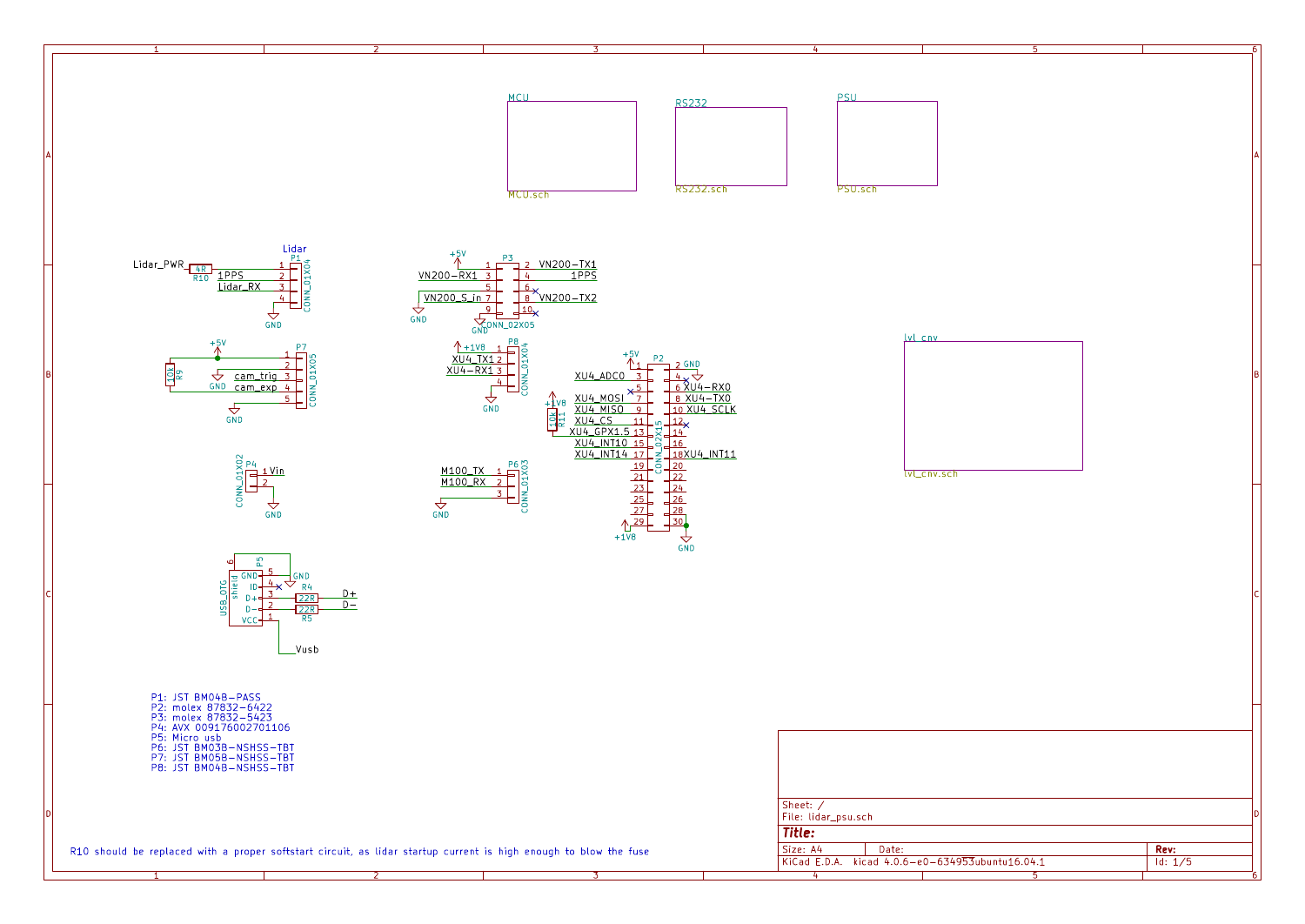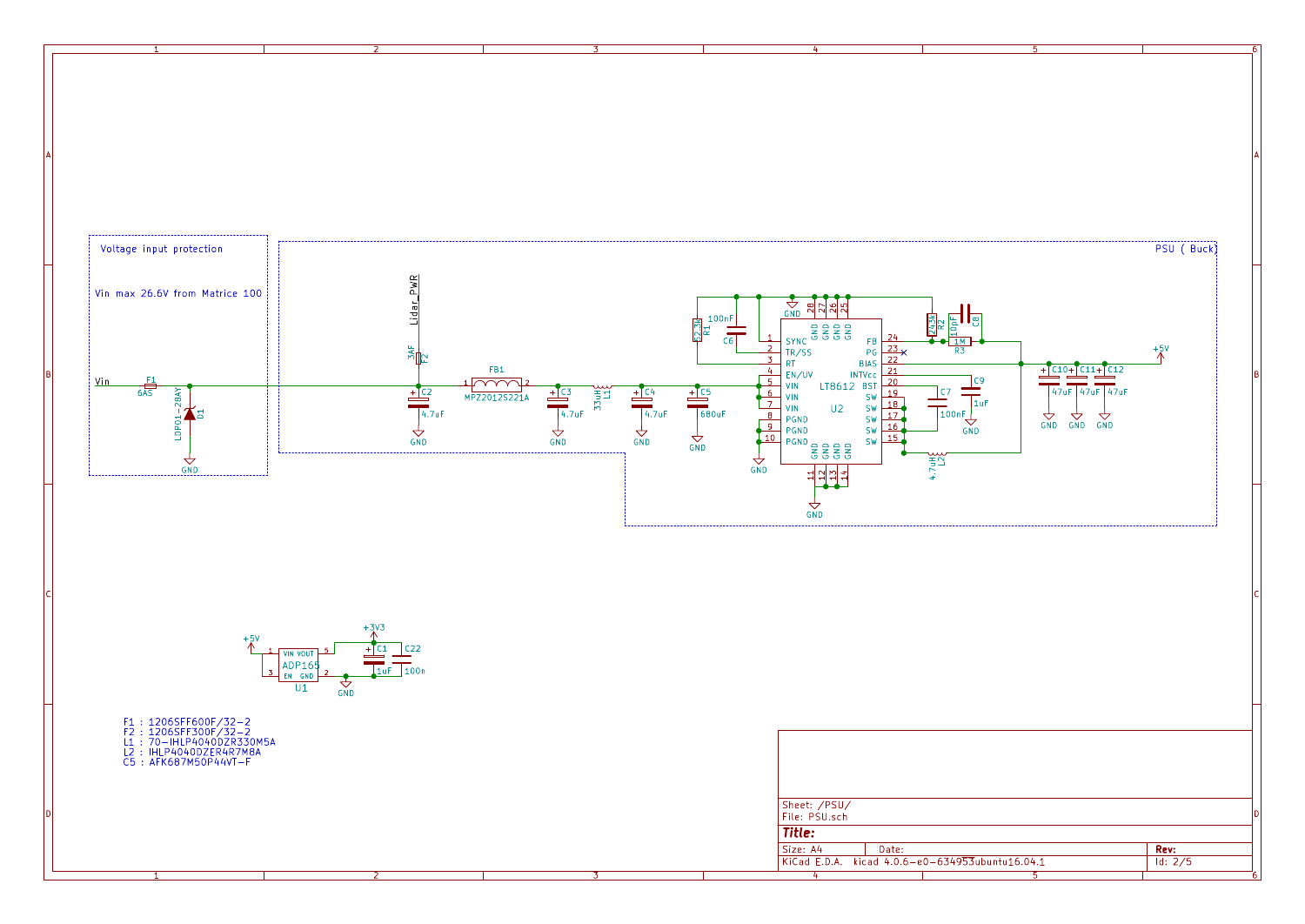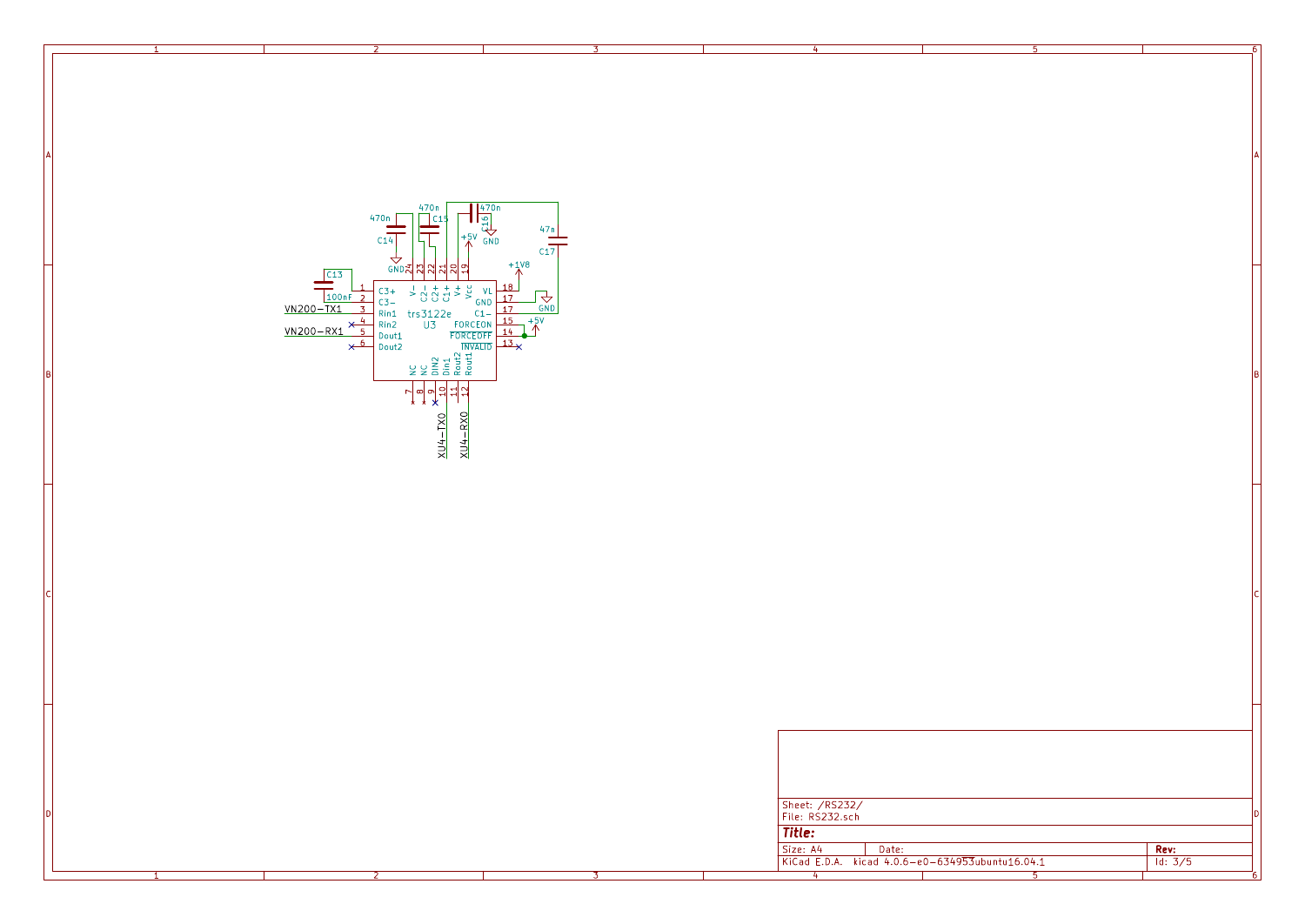| $\frac{470n}{\Box}$ C1                                                                                                                                                                                                                                                                                                                                                                                                                                                                                                                   |                                                                                                                 |                            |                                                                                               |    |                                 |
|------------------------------------------------------------------------------------------------------------------------------------------------------------------------------------------------------------------------------------------------------------------------------------------------------------------------------------------------------------------------------------------------------------------------------------------------------------------------------------------------------------------------------------------|-----------------------------------------------------------------------------------------------------------------|----------------------------|-----------------------------------------------------------------------------------------------|----|---------------------------------|
| $\frac{470n}{\frac{9}{10}}$<br>$\frac{470n\Gamma}{C14}$<br>GNDZ<br>$\frac{100nF}{\frac{100nF}{2}} = \frac{1}{3} \times \frac{1}{3} \times \frac{1}{3} \times \frac{1}{3} \times \frac{1}{3} \times \frac{1}{3} \times \frac{1}{3} \times \frac{1}{3} \times \frac{1}{3} \times \frac{1}{3} \times \frac{1}{3} \times \frac{1}{3} \times \frac{1}{3} \times \frac{1}{3} \times \frac{1}{3} \times \frac{1}{3} \times \frac{1}{3} \times \frac{1}{3} \times \frac{1}{3} \times \frac{1}{3} \times \frac{1}{3} \times \frac{1}{3} \times \$ | $\begin{array}{c c}\n47n \\ \hline\n\end{array}$ C17<br>$+1V8$<br>$\frac{\sqrt{\frac{1}{GND}}}{1+\frac{5V}{N}}$ |                            |                                                                                               |    |                                 |
| $\begin{array}{c}\n\begin{array}{c}\n\uparrow \\ \uparrow \\ \downarrow \\ \downarrow\n\end{array} \\ \hline\n\begin{array}{c}\n\downarrow \\ \downarrow \\ \downarrow\n\end{array}\n\end{array}$<br>$XU4-RX0$                                                                                                                                                                                                                                                                                                                           |                                                                                                                 |                            |                                                                                               |    |                                 |
|                                                                                                                                                                                                                                                                                                                                                                                                                                                                                                                                          |                                                                                                                 |                            |                                                                                               |    |                                 |
|                                                                                                                                                                                                                                                                                                                                                                                                                                                                                                                                          |                                                                                                                 | Title:<br>Size: A4<br>$-4$ | Sheet: /RS232/<br>File: RS232.sch<br>Date:<br>KiCad E.D.A. kicad 4.0.6-e0-634953ubuntu16.04.1 | -5 | $\frac{Rev:}{\frac{1}{d}: 3/5}$ |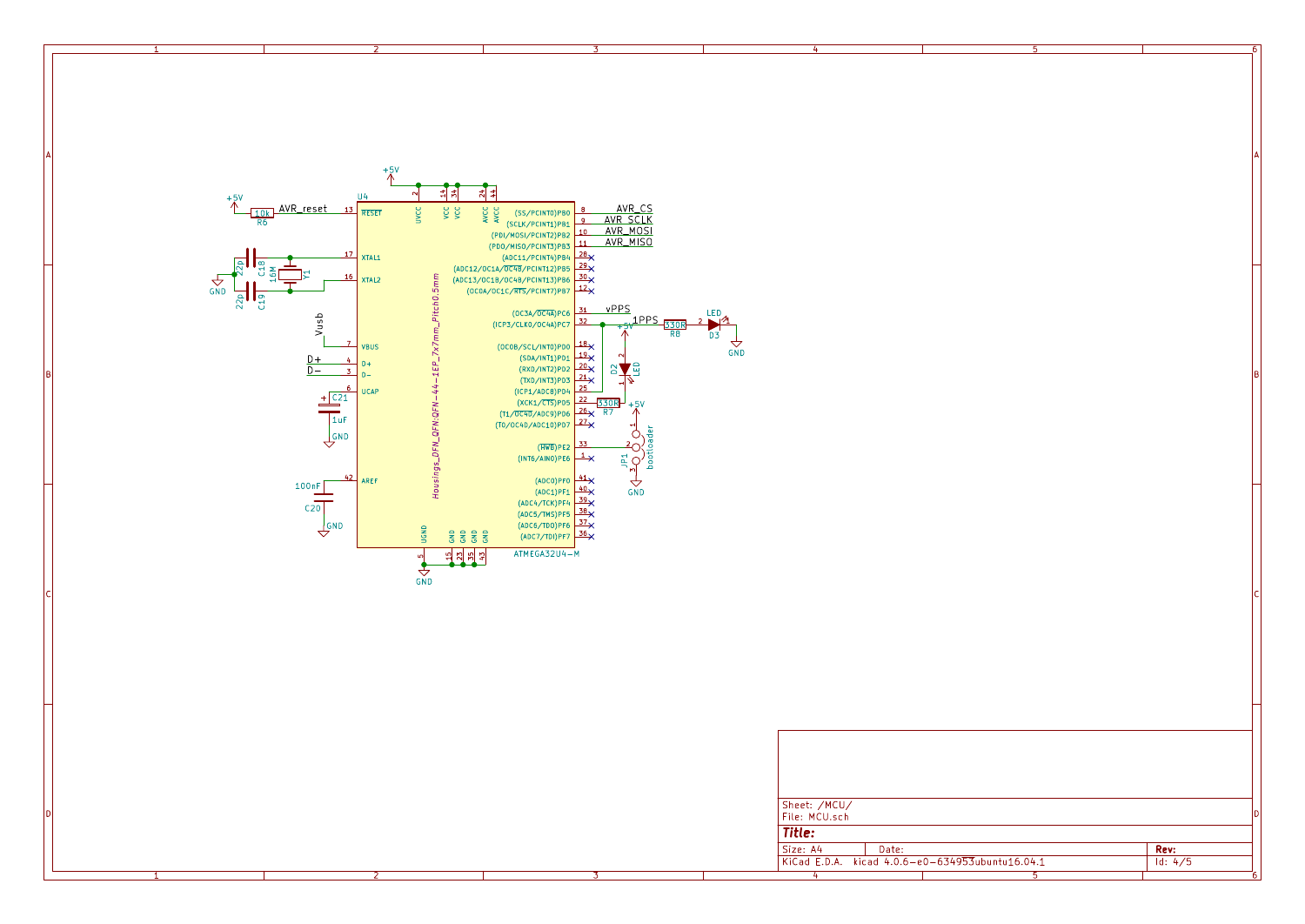

1 and 1 and 1 and 1 and 1 and 1 and 1 and 1 and 1 and 1 and 1 and 1 and 1 and 1 and 1 and 1 and 1 and 1 and 1 and 1 and 1 and 1 and 1 and 1 and 1 and 1 and 1 and 1 and 1 and 1 and 1 and 1 and 1 and 1 and 1 and 1 and 1 and